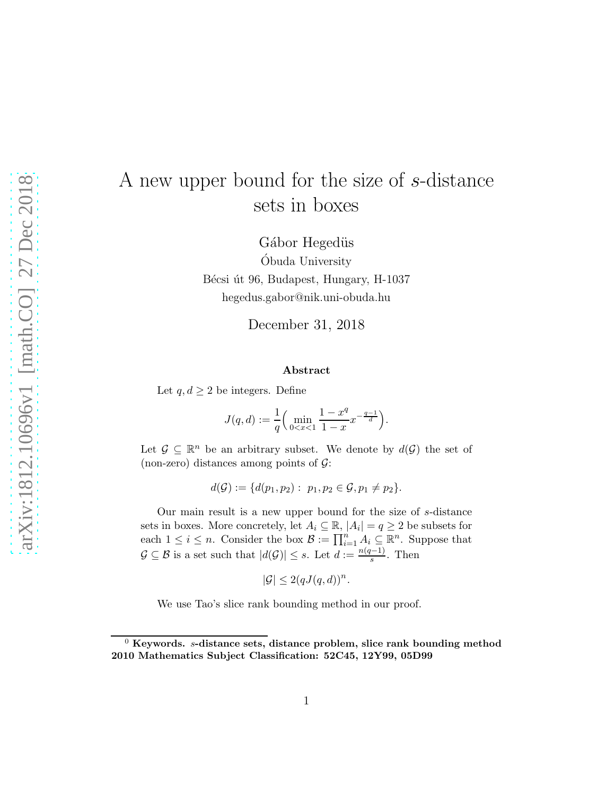# A new upper bound for the size of s-distance sets in boxes

Gábor Hegedüs Obuda University ´ Bécsi út 96, Budapest, Hungary, H-1037 hegedus.gabor@nik.uni-obuda.hu

December 31, 2018

#### Abstract

Let  $q, d \geq 2$  be integers. Define

$$
J(q, d) := \frac{1}{q} \left( \min_{0 < x < 1} \frac{1 - x^q}{1 - x} x^{-\frac{q - 1}{d}} \right).
$$

Let  $\mathcal{G} \subseteq \mathbb{R}^n$  be an arbitrary subset. We denote by  $d(\mathcal{G})$  the set of (non-zero) distances among points of  $\mathcal{G}$ :

$$
d(\mathcal{G}) := \{d(p_1, p_2): p_1, p_2 \in \mathcal{G}, p_1 \neq p_2\}.
$$

Our main result is a new upper bound for the size of s-distance sets in boxes. More concretely, let  $A_i \subseteq \mathbb{R}$ ,  $|A_i| = q \geq 2$  be subsets for each  $1 \leq i \leq n$ . Consider the box  $\mathcal{B} := \prod_{i=1}^{n} A_i \subseteq \mathbb{R}^n$ . Suppose that  $\mathcal{G} \subseteq \mathcal{B}$  is a set such that  $|d(\mathcal{G})| \leq s$ . Let  $d := \frac{n(q-1)}{s}$  $\frac{(-1)}{s}$ . Then

$$
|\mathcal{G}| \le 2(qJ(q,d))^n.
$$

We use Tao's slice rank bounding method in our proof.

 $0$  Keywords. s-distance sets, distance problem, slice rank bounding method 2010 Mathematics Subject Classification: 52C45, 12Y99, 05D99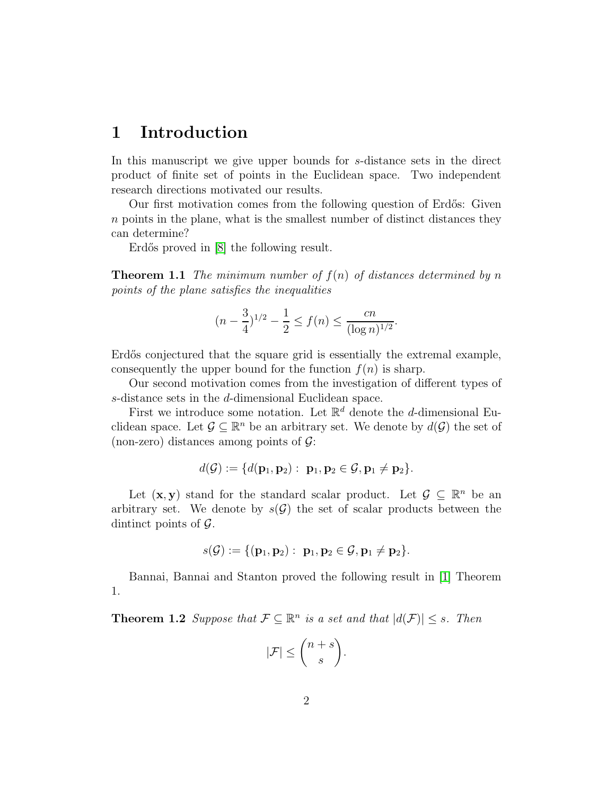## 1 Introduction

In this manuscript we give upper bounds for s-distance sets in the direct product of finite set of points in the Euclidean space. Two independent research directions motivated our results.

Our first motivation comes from the following question of Erdős: Given n points in the plane, what is the smallest number of distinct distances they can determine?

Erdős proved in [\[8\]](#page-6-0) the following result.

**Theorem 1.1** *The minimum number of*  $f(n)$  *of distances determined by n points of the plane satisfies the inequalities*

$$
(n - \frac{3}{4})^{1/2} - \frac{1}{2} \le f(n) \le \frac{cn}{(\log n)^{1/2}}.
$$

Erdős conjectured that the square grid is essentially the extremal example, consequently the upper bound for the function  $f(n)$  is sharp.

Our second motivation comes from the investigation of different types of s-distance sets in the d-dimensional Euclidean space.

First we introduce some notation. Let  $\mathbb{R}^d$  denote the *d*-dimensional Euclidean space. Let  $\mathcal{G} \subseteq \mathbb{R}^n$  be an arbitrary set. We denote by  $d(\mathcal{G})$  the set of (non-zero) distances among points of  $\mathcal{G}$ :

$$
d(\mathcal{G}) := \{d(\mathbf{p}_1, \mathbf{p}_2): \ \mathbf{p}_1, \mathbf{p}_2 \in \mathcal{G}, \mathbf{p}_1 \neq \mathbf{p}_2\}.
$$

Let  $(\mathbf{x}, \mathbf{y})$  stand for the standard scalar product. Let  $\mathcal{G} \subseteq \mathbb{R}^n$  be an arbitrary set. We denote by  $s(\mathcal{G})$  the set of scalar products between the dintinct points of  $\mathcal{G}$ .

$$
s(\mathcal{G}):=\{(\mathbf{p}_1, \mathbf{p}_2): \ \mathbf{p}_1, \mathbf{p}_2\in \mathcal{G}, \mathbf{p}_1\neq \mathbf{p}_2\}.
$$

Bannai, Bannai and Stanton proved the following result in [\[1\]](#page-6-1) Theorem 1.

**Theorem 1.2** *Suppose that*  $\mathcal{F} \subseteq \mathbb{R}^n$  *is a set and that*  $|d(\mathcal{F})| \leq s$ *. Then* 

$$
|\mathcal{F}| \leq {n+s \choose s}.
$$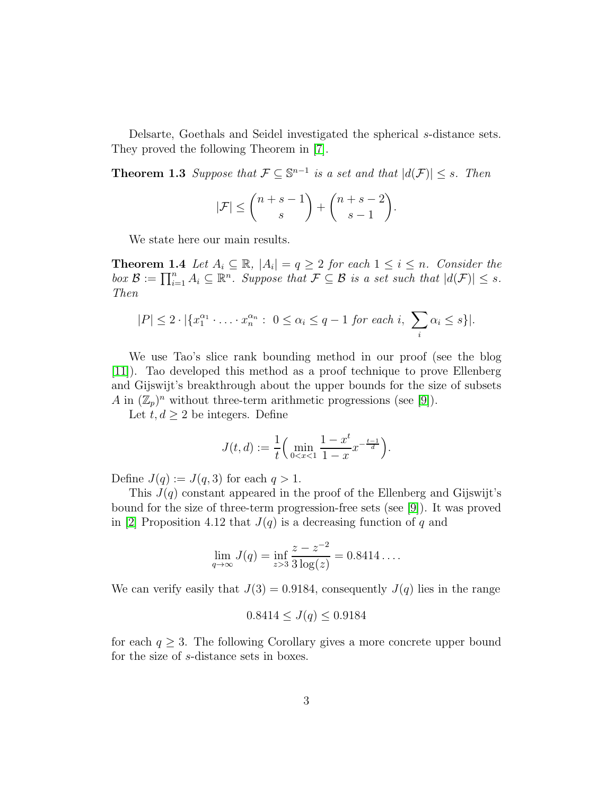Delsarte, Goethals and Seidel investigated the spherical s-distance sets. They proved the following Theorem in [\[7\]](#page-6-2).

**Theorem 1.3** *Suppose that*  $\mathcal{F} \subseteq \mathbb{S}^{n-1}$  *is a set and that*  $|d(\mathcal{F})| \leq s$ *. Then* 

<span id="page-2-0"></span>
$$
|\mathcal{F}| \le {n+s-1 \choose s} + {n+s-2 \choose s-1}.
$$

We state here our main results.

**Theorem 1.4** *Let*  $A_i \subseteq \mathbb{R}$ *,*  $|A_i| = q \geq 2$  *for each*  $1 \leq i \leq n$ *. Consider the*  $\mathit{box } \mathcal{B} := \prod_{i=1}^n A_i \subseteq \mathbb{R}^n$ *. Suppose that*  $\mathcal{F} \subseteq \mathcal{B}$  *is a set such that*  $|d(\mathcal{F})| \leq s$ *. Then*

$$
|P| \le 2 \cdot |\{x_1^{\alpha_1} \cdot \ldots \cdot x_n^{\alpha_n} : 0 \le \alpha_i \le q-1 \text{ for each } i, \sum_i \alpha_i \le s\}|.
$$

We use Tao's slice rank bounding method in our proof (see the blog [\[11\]](#page-6-3)). Tao developed this method as a proof technique to prove Ellenberg and Gijswijt's breakthrough about the upper bounds for the size of subsets A in  $(\mathbb{Z}_p)^n$  without three-term arithmetic progressions (see [\[9\]](#page-6-4)).

Let  $t, d \geq 2$  be integers. Define

$$
J(t, d) := \frac{1}{t} \left( \min_{0 < x < 1} \frac{1 - x^t}{1 - x} x^{-\frac{t - 1}{d}} \right).
$$

Define  $J(q) := J(q, 3)$  for each  $q > 1$ .

This  $J(q)$  constant appeared in the proof of the Ellenberg and Gijswijt's bound for the size of three-term progression-free sets (see [\[9\]](#page-6-4)). It was proved in [\[2\]](#page-6-5) Proposition 4.12 that  $J(q)$  is a decreasing function of q and

$$
\lim_{q \to \infty} J(q) = \inf_{z > 3} \frac{z - z^{-2}}{3 \log(z)} = 0.8414 \dots
$$

We can verify easily that  $J(3) = 0.9184$ , consequently  $J(q)$  lies in the range

$$
0.8414 \leq J(q) \leq 0.9184
$$

for each  $q \geq 3$ . The following Corollary gives a more concrete upper bound for the size of s-distance sets in boxes.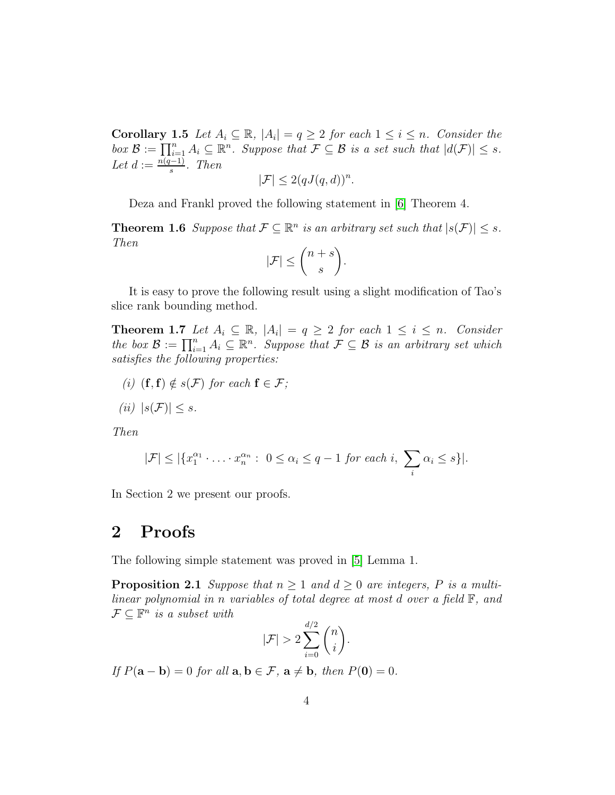**Corollary 1.5** *Let*  $A_i \subseteq \mathbb{R}$ *,*  $|A_i| = q \geq 2$  *for each*  $1 \leq i \leq n$ *. Consider the box*  $\mathcal{B} := \prod_{i=1}^n A_i \subseteq \mathbb{R}^n$ *. Suppose that*  $\mathcal{F} \subseteq \mathcal{B}$  *is a set such that*  $|d(\mathcal{F})| \leq s$ *.* Let  $d := \frac{n(q-1)}{s}$ s *. Then*

$$
|\mathcal{F}| \le 2(qJ(q,d))^n.
$$

Deza and Frankl proved the following statement in [\[6\]](#page-6-6) Theorem 4.

**Theorem 1.6** *Suppose that*  $\mathcal{F} \subseteq \mathbb{R}^n$  *is an arbitrary set such that*  $|s(\mathcal{F})| \leq s$ *. Then*

$$
|\mathcal{F}| \leq {n+s \choose s}.
$$

It is easy to prove the following result using a slight modification of Tao's slice rank bounding method.

**Theorem 1.7** *Let*  $A_i \subseteq \mathbb{R}$ *,*  $|A_i| = q \geq 2$  *for each*  $1 \leq i \leq n$ *. Consider the box*  $\mathcal{B} := \prod_{i=1}^n A_i \subseteq \mathbb{R}^n$ *. Suppose that*  $\mathcal{F} \subseteq \mathcal{B}$  *is an arbitrary set which satisfies the following properties:*

- *(i)*  $(f, f) \notin s(\mathcal{F})$  *for each*  $f \in \mathcal{F}$ ;
- $(iii)$   $|s(\mathcal{F})| \leq s$ .

*Then*

$$
|\mathcal{F}| \leq |\{x_1^{\alpha_1} \cdot \ldots \cdot x_n^{\alpha_n} : 0 \leq \alpha_i \leq q-1 \text{ for each } i, \sum_i \alpha_i \leq s\}|.
$$

In Section 2 we present our proofs.

#### 2 Proofs

The following simple statement was proved in [\[5\]](#page-6-7) Lemma 1.

**Proposition 2.1** *Suppose that*  $n \geq 1$  *and*  $d \geq 0$  *are integers,* P *is a multilinear polynomial in* n *variables of total degree at most* d *over a field* F*, and*  $\mathcal{F} \subseteq \mathbb{F}^n$  is a subset with

<span id="page-3-0"></span>
$$
|\mathcal{F}| > 2 \sum_{i=0}^{d/2} \binom{n}{i}.
$$

*If*  $P(\mathbf{a} - \mathbf{b}) = 0$  *for all*  $\mathbf{a}, \mathbf{b} \in \mathcal{F}$ ,  $\mathbf{a} \neq \mathbf{b}$ , *then*  $P(\mathbf{0}) = 0$ *.*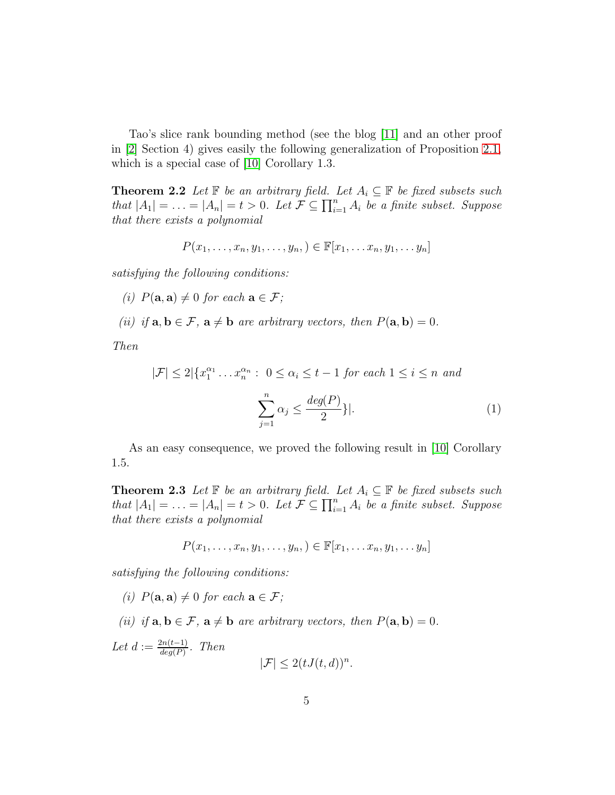Tao's slice rank bounding method (see the blog [\[11\]](#page-6-3) and an other proof in [\[2\]](#page-6-5) Section 4) gives easily the following generalization of Proposition [2.1,](#page-3-0) which is a special case of [\[10\]](#page-6-8) Corollary 1.3.

<span id="page-4-0"></span>**Theorem 2.2** *Let*  $\mathbb{F}$  *be an arbitrary field. Let*  $A_i \subseteq \mathbb{F}$  *be fixed subsets such that*  $|A_1| = \ldots = |A_n| = t > 0$ . Let  $\mathcal{F} \subseteq \prod_{i=1}^n A_i$  *be a finite subset. Suppose that there exists a polynomial*

$$
P(x_1,\ldots,x_n,y_1,\ldots,y_n,\mathbf{)}\in\mathbb{F}[x_1,\ldots,x_n,y_1,\ldots,y_n]
$$

*satisfying the following conditions:*

- *(i)*  $P(\mathbf{a}, \mathbf{a}) \neq 0$  *for each*  $\mathbf{a} \in \mathcal{F}$ *;*
- *(ii)* if  $\mathbf{a}, \mathbf{b} \in \mathcal{F}$ ,  $\mathbf{a} \neq \mathbf{b}$  are arbitrary vectors, then  $P(\mathbf{a}, \mathbf{b}) = 0$ .

*Then*

$$
|\mathcal{F}| \le 2|\{x_1^{\alpha_1} \dots x_n^{\alpha_n} : 0 \le \alpha_i \le t - 1 \text{ for each } 1 \le i \le n \text{ and}
$$

$$
\sum_{j=1}^n \alpha_j \le \frac{\deg(P)}{2}\}|.
$$
(1)

As an easy consequence, we proved the following result in [\[10\]](#page-6-8) Corollary 1.5.

**Theorem 2.3** *Let*  $\mathbb{F}$  *be an arbitrary field. Let*  $A_i \subseteq \mathbb{F}$  *be fixed subsets such that*  $|A_1| = \ldots = |A_n| = t > 0$ . Let  $\mathcal{F} \subseteq \prod_{i=1}^n A_i$  *be a finite subset. Suppose that there exists a polynomial*

$$
P(x_1,\ldots,x_n,y_1,\ldots,y_n,\mathbf{)}\in\mathbb{F}[x_1,\ldots,x_n,y_1,\ldots,y_n]
$$

*satisfying the following conditions:*

- *(i)*  $P(\mathbf{a}, \mathbf{a}) \neq 0$  *for each*  $\mathbf{a} \in \mathcal{F}$ *;*
- *(ii)* if  $\mathbf{a}, \mathbf{b} \in \mathcal{F}$ ,  $\mathbf{a} \neq \mathbf{b}$  are arbitrary vectors, then  $P(\mathbf{a}, \mathbf{b}) = 0$ .

Let  $d := \frac{2n(t-1)}{de^{(P)}}$  $\frac{dn(t-1)}{deg(P)}$ *. Then*  $|\mathcal{F}| \leq 2(tJ(t,d))^n$ .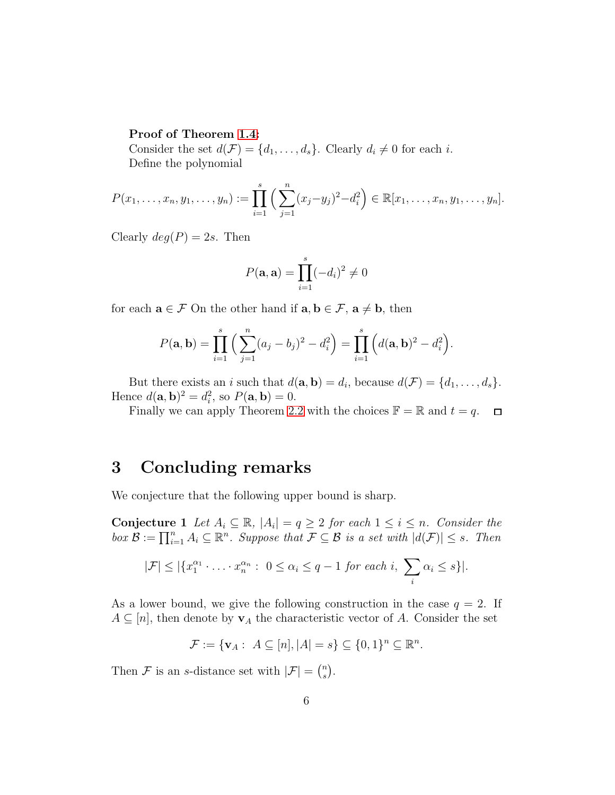#### Proof of Theorem [1.4:](#page-2-0)

Consider the set  $d(\mathcal{F}) = \{d_1, \ldots, d_s\}$ . Clearly  $d_i \neq 0$  for each i. Define the polynomial

$$
P(x_1,\ldots,x_n,y_1,\ldots,y_n):=\prod_{i=1}^s\Big(\sum_{j=1}^n(x_j-y_j)^2-d_i^2\Big)\in\mathbb{R}[x_1,\ldots,x_n,y_1,\ldots,y_n].
$$

Clearly  $deg(P) = 2s$ . Then

$$
P(\mathbf{a}, \mathbf{a}) = \prod_{i=1}^{s} (-d_i)^2 \neq 0
$$

for each  $\mathbf{a} \in \mathcal{F}$  On the other hand if  $\mathbf{a}, \mathbf{b} \in \mathcal{F}$ ,  $\mathbf{a} \neq \mathbf{b}$ , then

$$
P(\mathbf{a},\mathbf{b}) = \prod_{i=1}^{s} \left( \sum_{j=1}^{n} (a_j - b_j)^2 - d_i^2 \right) = \prod_{i=1}^{s} \left( d(\mathbf{a}, \mathbf{b})^2 - d_i^2 \right).
$$

But there exists an *i* such that  $d(\mathbf{a}, \mathbf{b}) = d_i$ , because  $d(\mathcal{F}) = \{d_1, \ldots, d_s\}$ . Hence  $d(\mathbf{a}, \mathbf{b})^2 = d_i^2$ , so  $P(\mathbf{a}, \mathbf{b}) = 0$ .

Finally we can apply Theorem [2.2](#page-4-0) with the choices  $\mathbb{F} = \mathbb{R}$  and  $t = q$ .  $\Box$ 

## 3 Concluding remarks

We conjecture that the following upper bound is sharp.

Conjecture 1 Let  $A_i \subseteq \mathbb{R}$ ,  $|A_i| = q \geq 2$  for each  $1 \leq i \leq n$ . Consider the  $\mathit{box } \mathcal{B} := \prod_{i=1}^n A_i \subseteq \mathbb{R}^n$ . Suppose that  $\mathcal{F} \subseteq \mathcal{B}$  is a set with  $|d(\mathcal{F})| \leq s$ . Then

$$
|\mathcal{F}| \leq |\{x_1^{\alpha_1} \cdot \ldots \cdot x_n^{\alpha_n} : 0 \leq \alpha_i \leq q-1 \text{ for each } i, \sum_i \alpha_i \leq s\}|.
$$

As a lower bound, we give the following construction in the case  $q = 2$ . If  $A \subseteq [n]$ , then denote by  $v_A$  the characteristic vector of A. Consider the set

$$
\mathcal{F} := \{ \mathbf{v}_A : \ A \subseteq [n], |A| = s \} \subseteq \{0,1\}^n \subseteq \mathbb{R}^n.
$$

Then F is an s-distance set with  $|\mathcal{F}| = \binom{n}{s}$  $\binom{n}{s}$ .